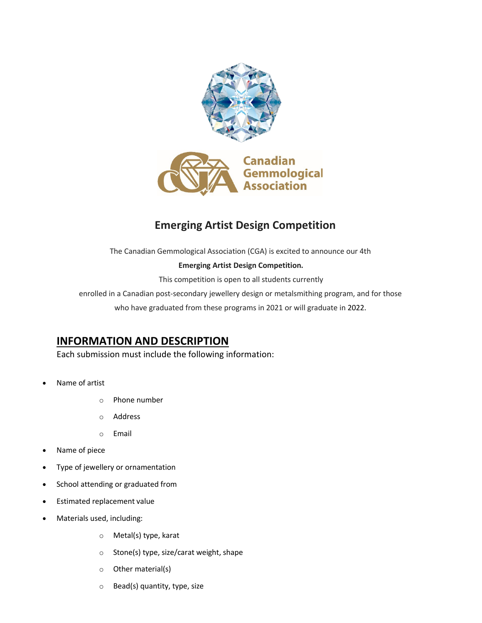

# **Emerging Artist Design Competition**

The Canadian Gemmological Association (CGA) is excited to announce our 4th

### **Emerging Artist Design Competition.**

This competition is open to all students currently

enrolled in a Canadian post-secondary jewellery design or metalsmithing program, and for those

who have graduated from these programs in 2021 or will graduate in 2022.

### **INFORMATION AND DESCRIPTION**

Each submission must include the following information:

- Name of artist
	- o Phone number
	- o Address
	- o Email
- Name of piece
- Type of jewellery or ornamentation
- School attending or graduated from
- Estimated replacement value
- Materials used, including:
	- o Metal(s) type, karat
	- o Stone(s) type, size/carat weight, shape
	- o Other material(s)
	- o Bead(s) quantity, type, size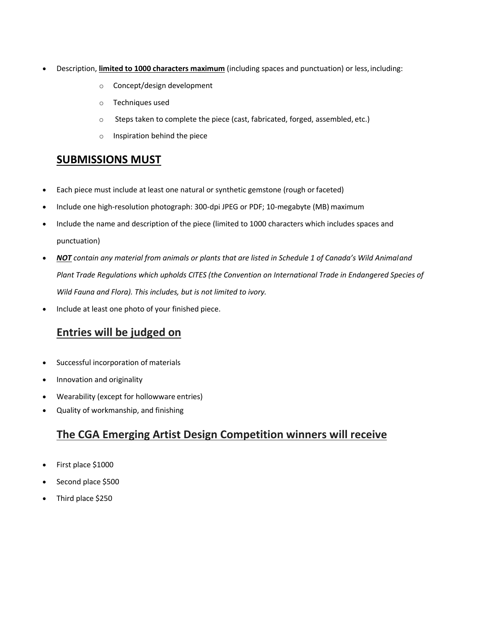- Description, **limited to 1000 characters maximum** (including spaces and punctuation) or less,including:
	- o Concept/design development
	- o Techniques used
	- o Steps taken to complete the piece (cast, fabricated, forged, assembled, etc.)
	- o Inspiration behind the piece

## **SUBMISSIONS MUST**

- Each piece must include at least one natural or synthetic gemstone (rough or faceted)
- Include one high-resolution photograph: 300-dpi JPEG or PDF; 10-megabyte (MB) maximum
- Include the name and description of the piece (limited to 1000 characters which includes spaces and punctuation)
- *NOT contain any material from animals or plants that are listed in Schedule 1 of Canada's Wild Animaland Plant Trade Regulations which upholds CITES (the Convention on International Trade in Endangered Species of Wild Fauna and Flora). This includes, but is not limited to ivory.*
- Include at least one photo of your finished piece.

# **Entries will be judged on**

- Successful incorporation of materials
- Innovation and originality
- Wearability (except for hollowware entries)
- Quality of workmanship, and finishing

# **The CGA Emerging Artist Design Competition winners will receive**

- First place \$1000
- Second place \$500
- Third place \$250